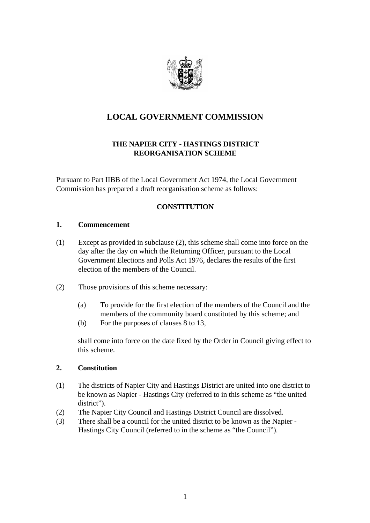

# **LOCAL GOVERNMENT COMMISSION**

# **THE NAPIER CITY - HASTINGS DISTRICT REORGANISATION SCHEME**

Pursuant to Part IIBB of the Local Government Act 1974, the Local Government Commission has prepared a draft reorganisation scheme as follows:

# **CONSTITUTION**

#### **1. Commencement**

- (1) Except as provided in subclause (2), this scheme shall come into force on the day after the day on which the Returning Officer, pursuant to the Local Government Elections and Polls Act 1976, declares the results of the first election of the members of the Council.
- (2) Those provisions of this scheme necessary:
	- (a) To provide for the first election of the members of the Council and the members of the community board constituted by this scheme; and
	- (b) For the purposes of clauses 8 to 13,

shall come into force on the date fixed by the Order in Council giving effect to this scheme.

### **2. Constitution**

- (1) The districts of Napier City and Hastings District are united into one district to be known as Napier - Hastings City (referred to in this scheme as "the united district").
- (2) The Napier City Council and Hastings District Council are dissolved.
- (3) There shall be a council for the united district to be known as the Napier Hastings City Council (referred to in the scheme as "the Council").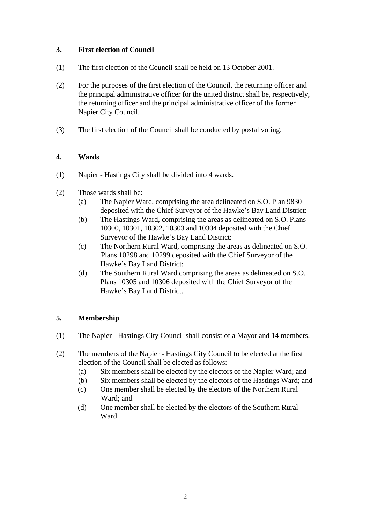# **3. First election of Council**

- (1) The first election of the Council shall be held on 13 October 2001.
- (2) For the purposes of the first election of the Council, the returning officer and the principal administrative officer for the united district shall be, respectively, the returning officer and the principal administrative officer of the former Napier City Council.
- (3) The first election of the Council shall be conducted by postal voting.

### **4. Wards**

- (1) Napier Hastings City shall be divided into 4 wards.
- (2) Those wards shall be:
	- (a) The Napier Ward, comprising the area delineated on S.O. Plan 9830 deposited with the Chief Surveyor of the Hawke's Bay Land District:
	- (b) The Hastings Ward, comprising the areas as delineated on S.O. Plans 10300, 10301, 10302, 10303 and 10304 deposited with the Chief Surveyor of the Hawke's Bay Land District:
	- (c) The Northern Rural Ward, comprising the areas as delineated on S.O. Plans 10298 and 10299 deposited with the Chief Surveyor of the Hawke's Bay Land District:
	- (d) The Southern Rural Ward comprising the areas as delineated on S.O. Plans 10305 and 10306 deposited with the Chief Surveyor of the Hawke's Bay Land District.

### **5. Membership**

- (1) The Napier Hastings City Council shall consist of a Mayor and 14 members.
- (2) The members of the Napier Hastings City Council to be elected at the first election of the Council shall be elected as follows:
	- (a) Six members shall be elected by the electors of the Napier Ward; and
	- (b) Six members shall be elected by the electors of the Hastings Ward; and
	- (c) One member shall be elected by the electors of the Northern Rural Ward; and
	- (d) One member shall be elected by the electors of the Southern Rural Ward.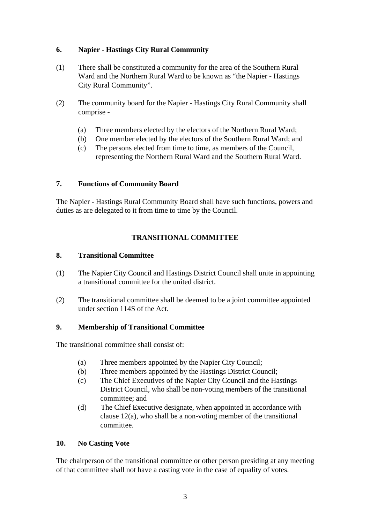# **6. Napier - Hastings City Rural Community**

- (1) There shall be constituted a community for the area of the Southern Rural Ward and the Northern Rural Ward to be known as "the Napier - Hastings City Rural Community".
- (2) The community board for the Napier Hastings City Rural Community shall comprise -
	- (a) Three members elected by the electors of the Northern Rural Ward;
	- (b) One member elected by the electors of the Southern Rural Ward; and
	- (c) The persons elected from time to time, as members of the Council, representing the Northern Rural Ward and the Southern Rural Ward.

# **7. Functions of Community Board**

The Napier - Hastings Rural Community Board shall have such functions, powers and duties as are delegated to it from time to time by the Council.

# **TRANSITIONAL COMMITTEE**

### **8. Transitional Committee**

- (1) The Napier City Council and Hastings District Council shall unite in appointing a transitional committee for the united district.
- (2) The transitional committee shall be deemed to be a joint committee appointed under section 114S of the Act.

### **9. Membership of Transitional Committee**

The transitional committee shall consist of:

- (a) Three members appointed by the Napier City Council;
- (b) Three members appointed by the Hastings District Council;
- (c) The Chief Executives of the Napier City Council and the Hastings District Council, who shall be non-voting members of the transitional committee; and
- (d) The Chief Executive designate, when appointed in accordance with clause 12(a), who shall be a non-voting member of the transitional committee.

### **10. No Casting Vote**

The chairperson of the transitional committee or other person presiding at any meeting of that committee shall not have a casting vote in the case of equality of votes.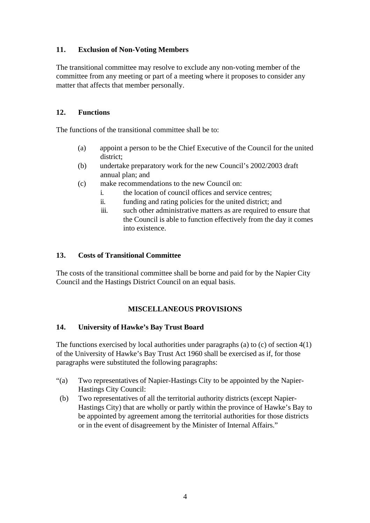# **11. Exclusion of Non-Voting Members**

The transitional committee may resolve to exclude any non-voting member of the committee from any meeting or part of a meeting where it proposes to consider any matter that affects that member personally.

### **12. Functions**

The functions of the transitional committee shall be to:

- (a) appoint a person to be the Chief Executive of the Council for the united district;
- (b) undertake preparatory work for the new Council's 2002/2003 draft annual plan; and
- (c) make recommendations to the new Council on:
	- i. the location of council offices and service centres;
	- ii. funding and rating policies for the united district; and
	- iii. such other administrative matters as are required to ensure that the Council is able to function effectively from the day it comes into existence.

#### **13. Costs of Transitional Committee**

The costs of the transitional committee shall be borne and paid for by the Napier City Council and the Hastings District Council on an equal basis.

### **MISCELLANEOUS PROVISIONS**

#### **14. University of Hawke's Bay Trust Board**

The functions exercised by local authorities under paragraphs (a) to  $(c)$  of section  $4(1)$ of the University of Hawke's Bay Trust Act 1960 shall be exercised as if, for those paragraphs were substituted the following paragraphs:

- "(a) Two representatives of Napier-Hastings City to be appointed by the Napier-Hastings City Council:
- (b) Two representatives of all the territorial authority districts (except Napier-Hastings City) that are wholly or partly within the province of Hawke's Bay to be appointed by agreement among the territorial authorities for those districts or in the event of disagreement by the Minister of Internal Affairs."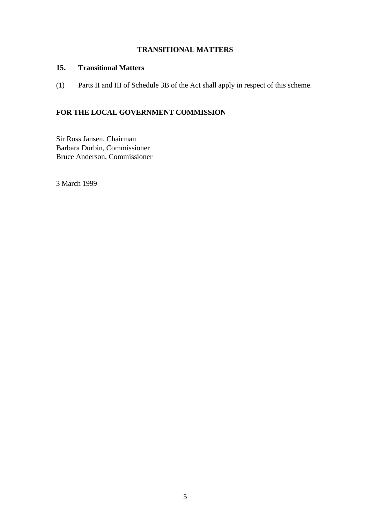# **TRANSITIONAL MATTERS**

# **15. Transitional Matters**

(1) Parts II and III of Schedule 3B of the Act shall apply in respect of this scheme.

# **FOR THE LOCAL GOVERNMENT COMMISSION**

Sir Ross Jansen, Chairman Barbara Durbin, Commissioner Bruce Anderson, Commissioner

3 March 1999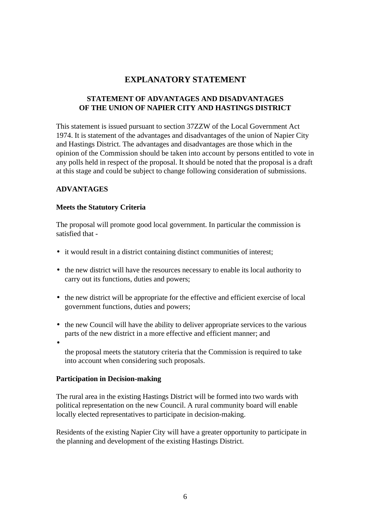# **EXPLANATORY STATEMENT**

# **STATEMENT OF ADVANTAGES AND DISADVANTAGES OF THE UNION OF NAPIER CITY AND HASTINGS DISTRICT**

This statement is issued pursuant to section 37ZZW of the Local Government Act 1974. It is statement of the advantages and disadvantages of the union of Napier City and Hastings District. The advantages and disadvantages are those which in the opinion of the Commission should be taken into account by persons entitled to vote in any polls held in respect of the proposal. It should be noted that the proposal is a draft at this stage and could be subject to change following consideration of submissions.

### **ADVANTAGES**

#### **Meets the Statutory Criteria**

The proposal will promote good local government. In particular the commission is satisfied that -

- it would result in a district containing distinct communities of interest;
- the new district will have the resources necessary to enable its local authority to carry out its functions, duties and powers;
- the new district will be appropriate for the effective and efficient exercise of local government functions, duties and powers;
- the new Council will have the ability to deliver appropriate services to the various parts of the new district in a more effective and efficient manner; and
- •

the proposal meets the statutory criteria that the Commission is required to take into account when considering such proposals.

#### **Participation in Decision-making**

The rural area in the existing Hastings District will be formed into two wards with political representation on the new Council. A rural community board will enable locally elected representatives to participate in decision-making.

Residents of the existing Napier City will have a greater opportunity to participate in the planning and development of the existing Hastings District.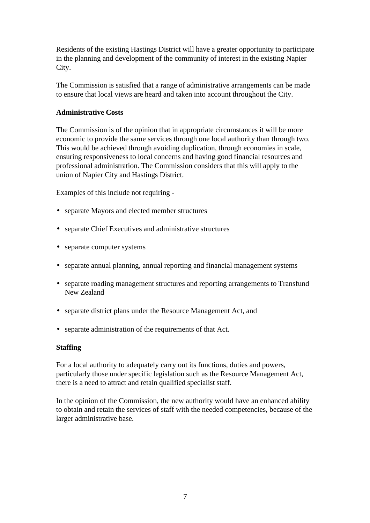Residents of the existing Hastings District will have a greater opportunity to participate in the planning and development of the community of interest in the existing Napier City.

The Commission is satisfied that a range of administrative arrangements can be made to ensure that local views are heard and taken into account throughout the City.

# **Administrative Costs**

The Commission is of the opinion that in appropriate circumstances it will be more economic to provide the same services through one local authority than through two. This would be achieved through avoiding duplication, through economies in scale, ensuring responsiveness to local concerns and having good financial resources and professional administration. The Commission considers that this will apply to the union of Napier City and Hastings District.

Examples of this include not requiring -

- separate Mayors and elected member structures
- separate Chief Executives and administrative structures
- separate computer systems
- separate annual planning, annual reporting and financial management systems
- separate roading management structures and reporting arrangements to Transfund New Zealand
- separate district plans under the Resource Management Act, and
- separate administration of the requirements of that Act.

### **Staffing**

For a local authority to adequately carry out its functions, duties and powers, particularly those under specific legislation such as the Resource Management Act, there is a need to attract and retain qualified specialist staff.

In the opinion of the Commission, the new authority would have an enhanced ability to obtain and retain the services of staff with the needed competencies, because of the larger administrative base.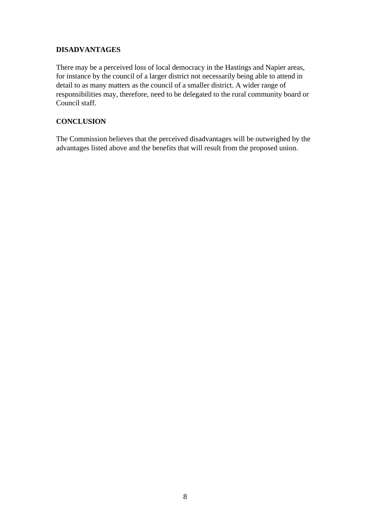# **DISADVANTAGES**

There may be a perceived loss of local democracy in the Hastings and Napier areas, for instance by the council of a larger district not necessarily being able to attend in detail to as many matters as the council of a smaller district. A wider range of responsibilities may, therefore, need to be delegated to the rural community board or Council staff.

# **CONCLUSION**

The Commission believes that the perceived disadvantages will be outweighed by the advantages listed above and the benefits that will result from the proposed union.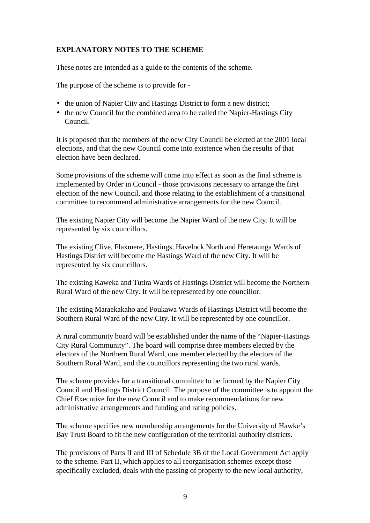# **EXPLANATORY NOTES TO THE SCHEME**

These notes are intended as a guide to the contents of the scheme.

The purpose of the scheme is to provide for -

- the union of Napier City and Hastings District to form a new district;
- the new Council for the combined area to be called the Napier-Hastings City Council.

It is proposed that the members of the new City Council be elected at the 2001 local elections, and that the new Council come into existence when the results of that election have been declared.

Some provisions of the scheme will come into effect as soon as the final scheme is implemented by Order in Council - those provisions necessary to arrange the first election of the new Council, and those relating to the establishment of a transitional committee to recommend administrative arrangements for the new Council.

The existing Napier City will become the Napier Ward of the new City. It will be represented by six councillors.

The existing Clive, Flaxmere, Hastings, Havelock North and Heretaunga Wards of Hastings District will become the Hastings Ward of the new City. It will be represented by six councillors.

The existing Kaweka and Tutira Wards of Hastings District will become the Northern Rural Ward of the new City. It will be represented by one councillor.

The existing Maraekakaho and Poukawa Wards of Hastings District will become the Southern Rural Ward of the new City. It will be represented by one councillor.

A rural community board will be established under the name of the "Napier-Hastings City Rural Community". The board will comprise three members elected by the electors of the Northern Rural Ward, one member elected by the electors of the Southern Rural Ward, and the councillors representing the two rural wards.

The scheme provides for a transitional committee to be formed by the Napier City Council and Hastings District Council. The purpose of the committee is to appoint the Chief Executive for the new Council and to make recommendations for new administrative arrangements and funding and rating policies.

The scheme specifies new membership arrangements for the University of Hawke's Bay Trust Board to fit the new configuration of the territorial authority districts.

The provisions of Parts II and III of Schedule 3B of the Local Government Act apply to the scheme. Part II, which applies to all reorganisation schemes except those specifically excluded, deals with the passing of property to the new local authority,